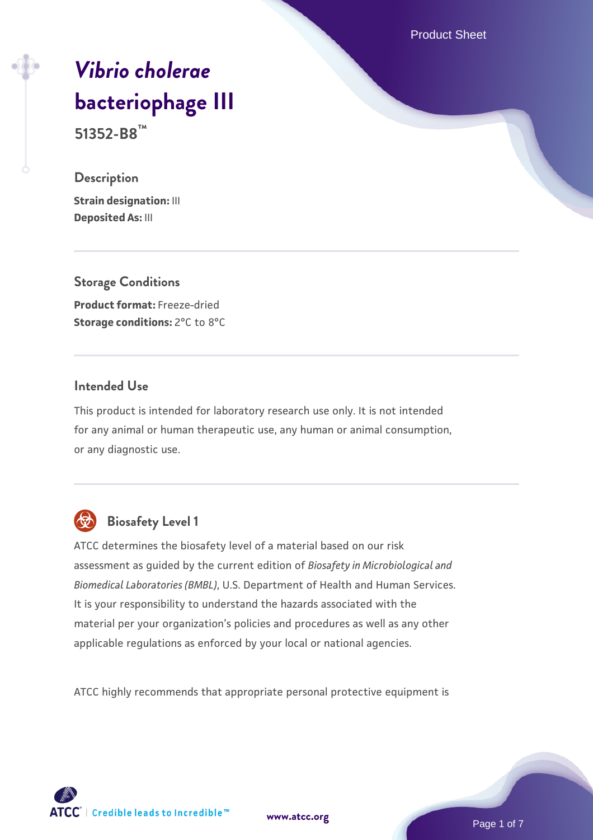Product Sheet

# *[Vibrio cholerae](https://www.atcc.org/products/51352-b8)* **[bacteriophage III](https://www.atcc.org/products/51352-b8)**

**51352-B8™**

#### **Description**

**Strain designation:** III **Deposited As:** III

**Storage Conditions Product format:** Freeze-dried **Storage conditions: 2°C to 8°C** 

## **Intended Use**

This product is intended for laboratory research use only. It is not intended for any animal or human therapeutic use, any human or animal consumption, or any diagnostic use.



# **Biosafety Level 1**

ATCC determines the biosafety level of a material based on our risk assessment as guided by the current edition of *Biosafety in Microbiological and Biomedical Laboratories (BMBL)*, U.S. Department of Health and Human Services. It is your responsibility to understand the hazards associated with the material per your organization's policies and procedures as well as any other applicable regulations as enforced by your local or national agencies.

ATCC highly recommends that appropriate personal protective equipment is

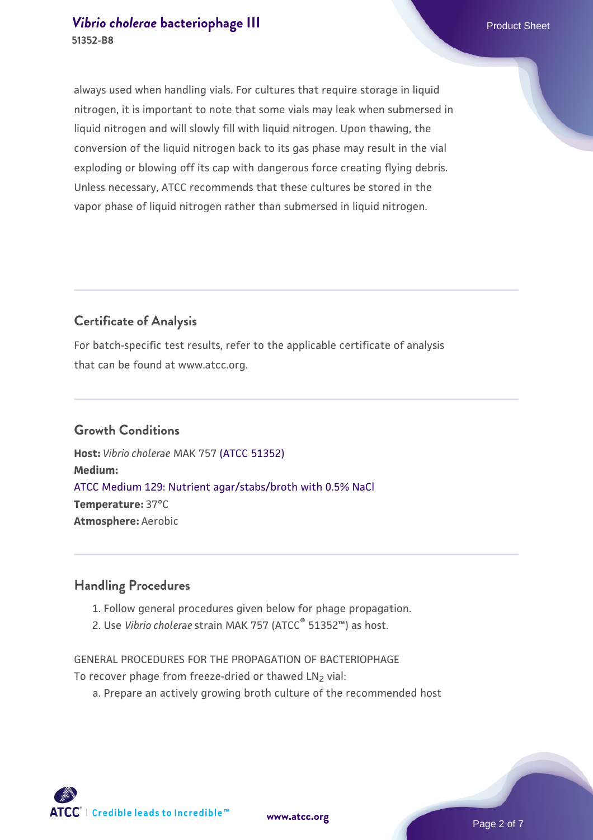always used when handling vials. For cultures that require storage in liquid nitrogen, it is important to note that some vials may leak when submersed in liquid nitrogen and will slowly fill with liquid nitrogen. Upon thawing, the conversion of the liquid nitrogen back to its gas phase may result in the vial exploding or blowing off its cap with dangerous force creating flying debris. Unless necessary, ATCC recommends that these cultures be stored in the vapor phase of liquid nitrogen rather than submersed in liquid nitrogen.

#### **Certificate of Analysis**

For batch-specific test results, refer to the applicable certificate of analysis that can be found at www.atcc.org.

#### **Growth Conditions**

**Host:** *Vibrio cholerae* MAK 757 [\(ATCC 51352\)](https://www.atcc.org/products/51352) **Medium:**  [ATCC Medium 129: Nutrient agar/stabs/broth with 0.5% NaCl](https://www.atcc.org/-/media/product-assets/documents/microbial-media-formulations/1/2/9/atcc-medium-129.pdf?rev=150b9f2c290a4ffd8831325d0362eda2) **Temperature:** 37°C **Atmosphere:** Aerobic

#### **Handling Procedures**

- 1. Follow general procedures given below for phage propagation.
- 2. Use Vibrio cholerae strain MAK 757 (ATCC<sup>®</sup> 51352™) as host.

GENERAL PROCEDURES FOR THE PROPAGATION OF BACTERIOPHAGE To recover phage from freeze-dried or thawed LN<sub>2</sub> vial:

a. Prepare an actively growing broth culture of the recommended host

**[www.atcc.org](http://www.atcc.org)**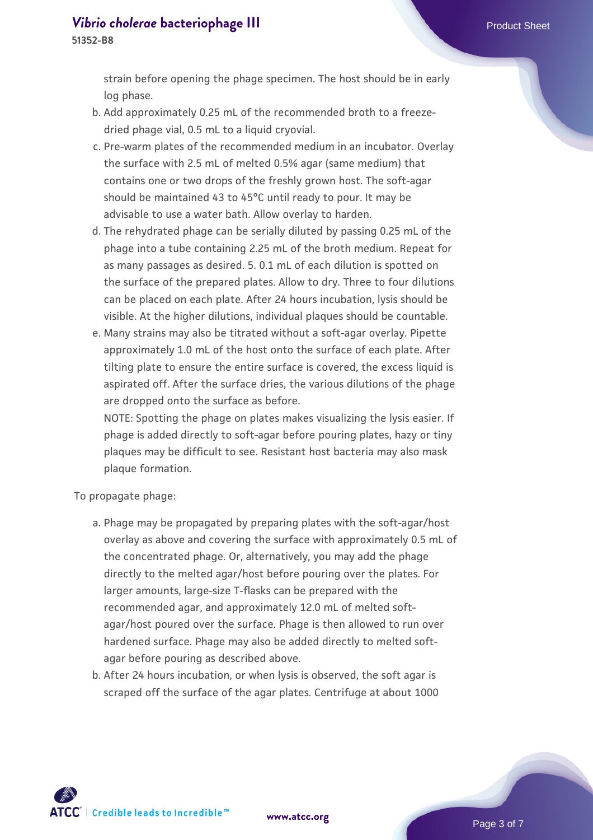strain before opening the phage specimen. The host should be in early log phase.

- b. Add approximately 0.25 mL of the recommended broth to a freezedried phage vial, 0.5 mL to a liquid cryovial.
- c. Pre-warm plates of the recommended medium in an incubator. Overlay the surface with 2.5 mL of melted 0.5% agar (same medium) that contains one or two drops of the freshly grown host. The soft-agar should be maintained 43 to 45°C until ready to pour. It may be advisable to use a water bath. Allow overlay to harden.
- d. The rehydrated phage can be serially diluted by passing 0.25 mL of the phage into a tube containing 2.25 mL of the broth medium. Repeat for as many passages as desired. 5. 0.1 mL of each dilution is spotted on the surface of the prepared plates. Allow to dry. Three to four dilutions can be placed on each plate. After 24 hours incubation, lysis should be visible. At the higher dilutions, individual plaques should be countable.
- e. Many strains may also be titrated without a soft-agar overlay. Pipette approximately 1.0 mL of the host onto the surface of each plate. After tilting plate to ensure the entire surface is covered, the excess liquid is aspirated off. After the surface dries, the various dilutions of the phage are dropped onto the surface as before.

NOTE: Spotting the phage on plates makes visualizing the lysis easier. If phage is added directly to soft-agar before pouring plates, hazy or tiny plaques may be difficult to see. Resistant host bacteria may also mask plaque formation.

To propagate phage:

- a. Phage may be propagated by preparing plates with the soft-agar/host overlay as above and covering the surface with approximately 0.5 mL of the concentrated phage. Or, alternatively, you may add the phage directly to the melted agar/host before pouring over the plates. For larger amounts, large-size T-flasks can be prepared with the recommended agar, and approximately 12.0 mL of melted softagar/host poured over the surface. Phage is then allowed to run over hardened surface. Phage may also be added directly to melted softagar before pouring as described above.
- b. After 24 hours incubation, or when lysis is observed, the soft agar is scraped off the surface of the agar plates. Centrifuge at about 1000

**ATCC** | Credible leads to Incredible™

**[www.atcc.org](http://www.atcc.org)**

Page 3 of 7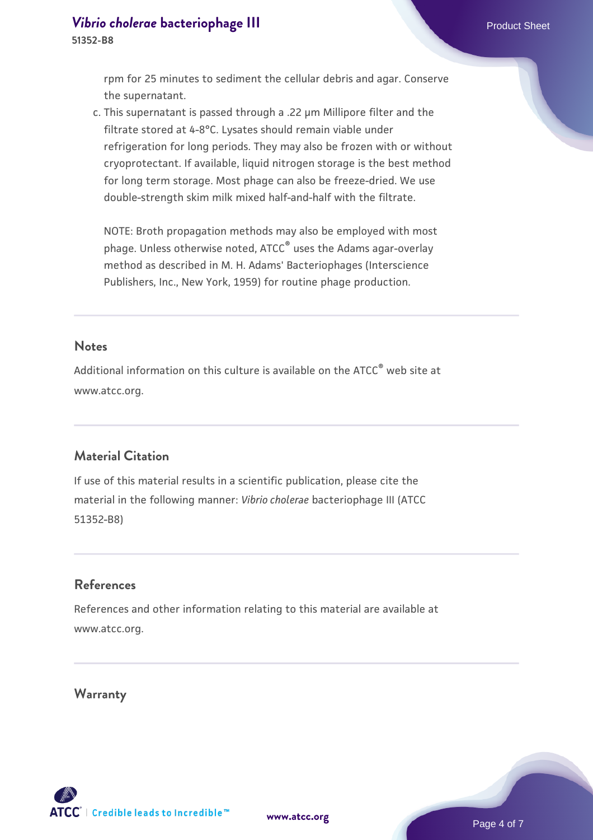rpm for 25 minutes to sediment the cellular debris and agar. Conserve the supernatant.

This supernatant is passed through a .22 µm Millipore filter and the c. filtrate stored at 4-8°C. Lysates should remain viable under refrigeration for long periods. They may also be frozen with or without cryoprotectant. If available, liquid nitrogen storage is the best method for long term storage. Most phage can also be freeze-dried. We use double-strength skim milk mixed half-and-half with the filtrate.

NOTE: Broth propagation methods may also be employed with most phage. Unless otherwise noted, ATCC® uses the Adams agar-overlay method as described in M. H. Adams' Bacteriophages (Interscience Publishers, Inc., New York, 1959) for routine phage production.

#### **Notes**

Additional information on this culture is available on the ATCC<sup>®</sup> web site at www.atcc.org.

#### **Material Citation**

If use of this material results in a scientific publication, please cite the material in the following manner: *Vibrio cholerae* bacteriophage III (ATCC 51352-B8)

# **References**

References and other information relating to this material are available at www.atcc.org.

**Warranty**

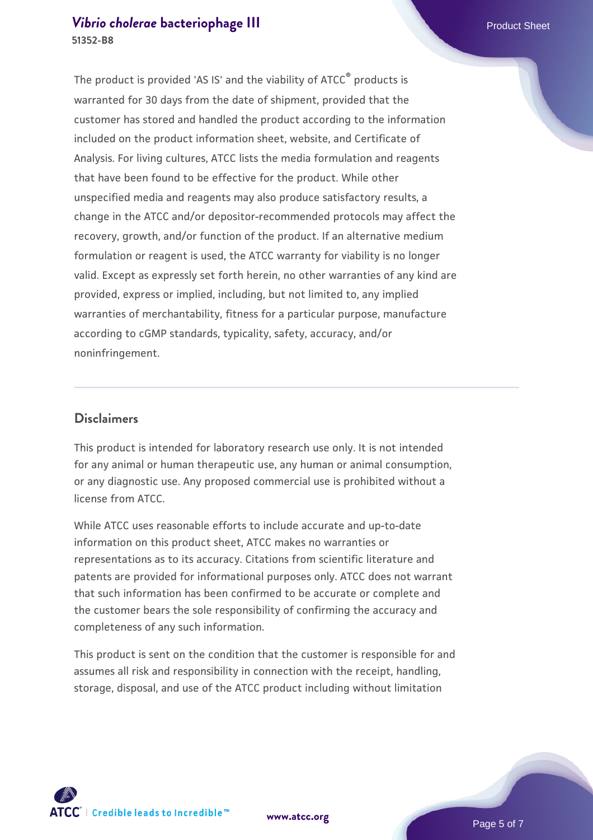#### *[Vibrio cholerae](https://www.atcc.org/products/51352-b8)* [bacteriophage III](https://www.atcc.org/products/51352-b8) **Product Sheet** Product Sheet **51352-B8**

The product is provided 'AS IS' and the viability of ATCC® products is warranted for 30 days from the date of shipment, provided that the customer has stored and handled the product according to the information included on the product information sheet, website, and Certificate of Analysis. For living cultures, ATCC lists the media formulation and reagents that have been found to be effective for the product. While other unspecified media and reagents may also produce satisfactory results, a change in the ATCC and/or depositor-recommended protocols may affect the recovery, growth, and/or function of the product. If an alternative medium formulation or reagent is used, the ATCC warranty for viability is no longer valid. Except as expressly set forth herein, no other warranties of any kind are provided, express or implied, including, but not limited to, any implied warranties of merchantability, fitness for a particular purpose, manufacture according to cGMP standards, typicality, safety, accuracy, and/or noninfringement.

#### **Disclaimers**

This product is intended for laboratory research use only. It is not intended for any animal or human therapeutic use, any human or animal consumption, or any diagnostic use. Any proposed commercial use is prohibited without a license from ATCC.

While ATCC uses reasonable efforts to include accurate and up-to-date information on this product sheet, ATCC makes no warranties or representations as to its accuracy. Citations from scientific literature and patents are provided for informational purposes only. ATCC does not warrant that such information has been confirmed to be accurate or complete and the customer bears the sole responsibility of confirming the accuracy and completeness of any such information.

This product is sent on the condition that the customer is responsible for and assumes all risk and responsibility in connection with the receipt, handling, storage, disposal, and use of the ATCC product including without limitation





**[www.atcc.org](http://www.atcc.org)**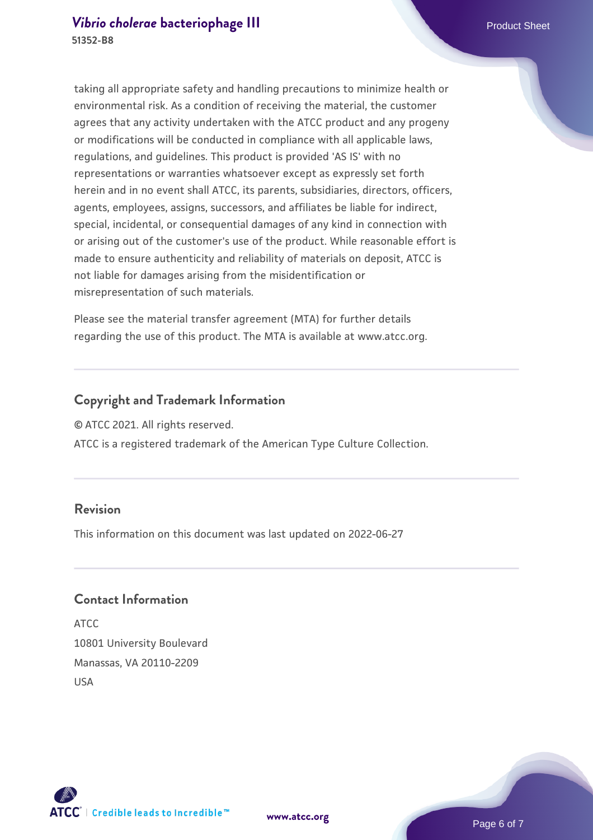taking all appropriate safety and handling precautions to minimize health or environmental risk. As a condition of receiving the material, the customer agrees that any activity undertaken with the ATCC product and any progeny or modifications will be conducted in compliance with all applicable laws, regulations, and guidelines. This product is provided 'AS IS' with no representations or warranties whatsoever except as expressly set forth herein and in no event shall ATCC, its parents, subsidiaries, directors, officers, agents, employees, assigns, successors, and affiliates be liable for indirect, special, incidental, or consequential damages of any kind in connection with or arising out of the customer's use of the product. While reasonable effort is made to ensure authenticity and reliability of materials on deposit, ATCC is

not liable for damages arising from the misidentification or misrepresentation of such materials.

Please see the material transfer agreement (MTA) for further details regarding the use of this product. The MTA is available at www.atcc.org.

## **Copyright and Trademark Information**

© ATCC 2021. All rights reserved.

ATCC is a registered trademark of the American Type Culture Collection.

#### **Revision**

This information on this document was last updated on 2022-06-27

### **Contact Information**

ATCC 10801 University Boulevard Manassas, VA 20110-2209 USA